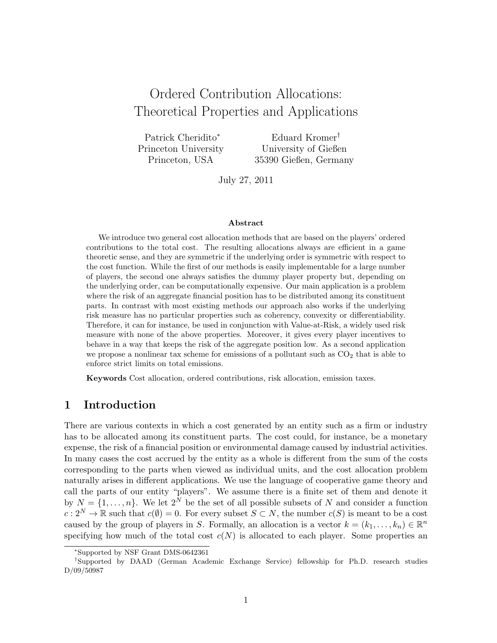# Ordered Contribution Allocations: Theoretical Properties and Applications

Patrick Cheridito<sup>∗</sup> Princeton University Princeton, USA

Eduard Kromer† University of Gießen 35390 Gießen, Germany

July 27, 2011

#### Abstract

We introduce two general cost allocation methods that are based on the players' ordered contributions to the total cost. The resulting allocations always are efficient in a game theoretic sense, and they are symmetric if the underlying order is symmetric with respect to the cost function. While the first of our methods is easily implementable for a large number of players, the second one always satisfies the dummy player property but, depending on the underlying order, can be computationally expensive. Our main application is a problem where the risk of an aggregate financial position has to be distributed among its constituent parts. In contrast with most existing methods our approach also works if the underlying risk measure has no particular properties such as coherency, convexity or differentiability. Therefore, it can for instance, be used in conjunction with Value-at-Risk, a widely used risk measure with none of the above properties. Moreover, it gives every player incentives to behave in a way that keeps the risk of the aggregate position low. As a second application we propose a nonlinear tax scheme for emissions of a pollutant such as  $CO<sub>2</sub>$  that is able to enforce strict limits on total emissions.

Keywords Cost allocation, ordered contributions, risk allocation, emission taxes.

## 1 Introduction

There are various contexts in which a cost generated by an entity such as a firm or industry has to be allocated among its constituent parts. The cost could, for instance, be a monetary expense, the risk of a financial position or environmental damage caused by industrial activities. In many cases the cost accrued by the entity as a whole is different from the sum of the costs corresponding to the parts when viewed as individual units, and the cost allocation problem naturally arises in different applications. We use the language of cooperative game theory and call the parts of our entity "players". We assume there is a finite set of them and denote it by  $N = \{1, \ldots, n\}$ . We let  $2^N$  be the set of all possible subsets of N and consider a function  $c: 2^N \to \mathbb{R}$  such that  $c(\emptyset) = 0$ . For every subset  $S \subset N$ , the number  $c(S)$  is meant to be a cost caused by the group of players in S. Formally, an allocation is a vector  $k = (k_1, \ldots, k_n) \in \mathbb{R}^n$ specifying how much of the total cost  $c(N)$  is allocated to each player. Some properties an

<sup>∗</sup>Supported by NSF Grant DMS-0642361

<sup>†</sup>Supported by DAAD (German Academic Exchange Service) fellowship for Ph.D. research studies D/09/50987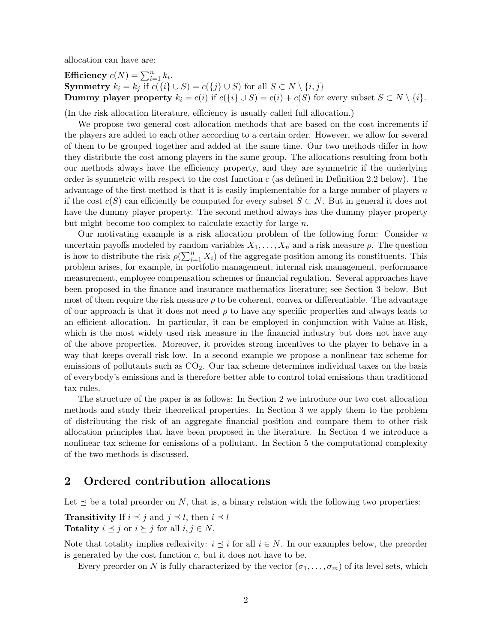allocation can have are:

**Efficiency** 
$$
c(N) = \sum_{i=1}^{n} k_i
$$
.  
\n**Symmetry**  $k_i = k_j$  if  $c({i} \cup S) = c({j} \cup S)$  for all  $S \subset N \setminus {i, j}$   
\n**Dummy player property**  $k_i = c(i)$  if  $c({i} \cup S) = c(i) + c(S)$  for every subset  $S \subset N \setminus {i}$ .

(In the risk allocation literature, efficiency is usually called full allocation.)

We propose two general cost allocation methods that are based on the cost increments if the players are added to each other according to a certain order. However, we allow for several of them to be grouped together and added at the same time. Our two methods differ in how they distribute the cost among players in the same group. The allocations resulting from both our methods always have the efficiency property, and they are symmetric if the underlying order is symmetric with respect to the cost function c (as defined in Definition 2.2 below). The advantage of the first method is that it is easily implementable for a large number of players  $n$ if the cost  $c(S)$  can efficiently be computed for every subset  $S \subset N$ . But in general it does not have the dummy player property. The second method always has the dummy player property but might become too complex to calculate exactly for large n.

Our motivating example is a risk allocation problem of the following form: Consider  $n$ uncertain payoffs modeled by random variables  $X_1, \ldots, X_n$  and a risk measure  $\rho$ . The question is how to distribute the risk  $\rho(\sum_{i=1}^n X_i)$  of the aggregate position among its constituents. This problem arises, for example, in portfolio management, internal risk management, performance measurement, employee compensation schemes or financial regulation. Several approaches have been proposed in the finance and insurance mathematics literature; see Section 3 below. But most of them require the risk measure  $\rho$  to be coherent, convex or differentiable. The advantage of our approach is that it does not need  $\rho$  to have any specific properties and always leads to an efficient allocation. In particular, it can be employed in conjunction with Value-at-Risk, which is the most widely used risk measure in the financial industry but does not have any of the above properties. Moreover, it provides strong incentives to the player to behave in a way that keeps overall risk low. In a second example we propose a nonlinear tax scheme for emissions of pollutants such as  $CO<sub>2</sub>$ . Our tax scheme determines individual taxes on the basis of everybody's emissions and is therefore better able to control total emissions than traditional tax rules.

The structure of the paper is as follows: In Section 2 we introduce our two cost allocation methods and study their theoretical properties. In Section 3 we apply them to the problem of distributing the risk of an aggregate financial position and compare them to other risk allocation principles that have been proposed in the literature. In Section 4 we introduce a nonlinear tax scheme for emissions of a pollutant. In Section 5 the computational complexity of the two methods is discussed.

## 2 Ordered contribution allocations

Let  $\leq$  be a total preorder on N, that is, a binary relation with the following two properties:

**Transitivity** If  $i \leq j$  and  $j \leq l$ , then  $i \leq l$ Totality  $i \leq j$  or  $i \geq j$  for all  $i, j \in N$ .

Note that totality implies reflexivity:  $i \leq i$  for all  $i \in N$ . In our examples below, the preorder is generated by the cost function  $c$ , but it does not have to be.

Every preorder on N is fully characterized by the vector  $(\sigma_1, \ldots, \sigma_m)$  of its level sets, which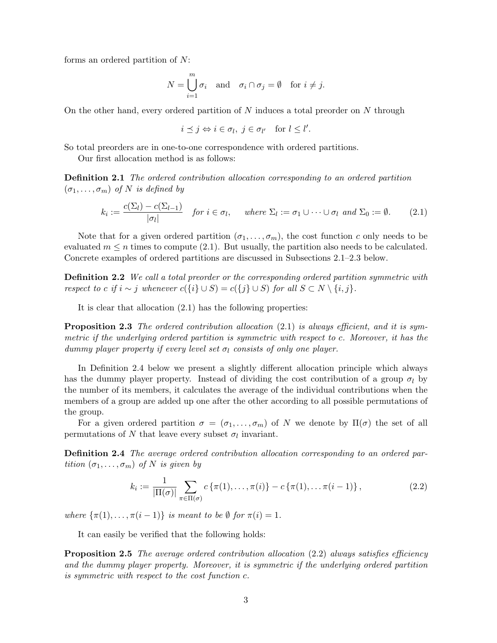forms an ordered partition of N:

$$
N = \bigcup_{i=1}^{m} \sigma_i \quad \text{and} \quad \sigma_i \cap \sigma_j = \emptyset \quad \text{for } i \neq j.
$$

On the other hand, every ordered partition of  $N$  induces a total preorder on  $N$  through

$$
i \preceq j \Leftrightarrow i \in \sigma_l, \ j \in \sigma_{l'} \quad \text{for } l \leq l'.
$$

So total preorders are in one-to-one correspondence with ordered partitions.

Our first allocation method is as follows:

**Definition 2.1** The ordered contribution allocation corresponding to an ordered partition  $(\sigma_1, \ldots, \sigma_m)$  of N is defined by

$$
k_i := \frac{c(\Sigma_l) - c(\Sigma_{l-1})}{|\sigma_l|} \quad \text{for } i \in \sigma_l, \quad \text{where } \Sigma_l := \sigma_1 \cup \dots \cup \sigma_l \text{ and } \Sigma_0 := \emptyset. \tag{2.1}
$$

Note that for a given ordered partition  $(\sigma_1, \ldots, \sigma_m)$ , the cost function c only needs to be evaluated  $m \leq n$  times to compute (2.1). But usually, the partition also needs to be calculated. Concrete examples of ordered partitions are discussed in Subsections 2.1–2.3 below.

**Definition 2.2** We call a total preorder or the corresponding ordered partition symmetric with respect to c if  $i \sim j$  whenever  $c({i} \cup S) = c({j} \cup S)$  for all  $S \subset N \setminus {i, j}$ .

It is clear that allocation (2.1) has the following properties:

**Proposition 2.3** The ordered contribution allocation  $(2.1)$  is always efficient, and it is symmetric if the underlying ordered partition is symmetric with respect to c. Moreover, it has the dummy player property if every level set  $\sigma_l$  consists of only one player.

In Definition 2.4 below we present a slightly different allocation principle which always has the dummy player property. Instead of dividing the cost contribution of a group  $\sigma_l$  by the number of its members, it calculates the average of the individual contributions when the members of a group are added up one after the other according to all possible permutations of the group.

For a given ordered partition  $\sigma = (\sigma_1, \ldots, \sigma_m)$  of N we denote by  $\Pi(\sigma)$  the set of all permutations of N that leave every subset  $\sigma_l$  invariant.

Definition 2.4 The average ordered contribution allocation corresponding to an ordered partition  $(\sigma_1, \ldots, \sigma_m)$  of N is given by

$$
k_i := \frac{1}{|\Pi(\sigma)|} \sum_{\pi \in \Pi(\sigma)} c \left\{ \pi(1), \dots, \pi(i) \right\} - c \left\{ \pi(1), \dots, \pi(i-1) \right\},\tag{2.2}
$$

where  $\{\pi(1), \ldots, \pi(i-1)\}\$ is meant to be Ø for  $\pi(i) = 1$ .

It can easily be verified that the following holds:

**Proposition 2.5** The average ordered contribution allocation  $(2.2)$  always satisfies efficiency and the dummy player property. Moreover, it is symmetric if the underlying ordered partition is symmetric with respect to the cost function c.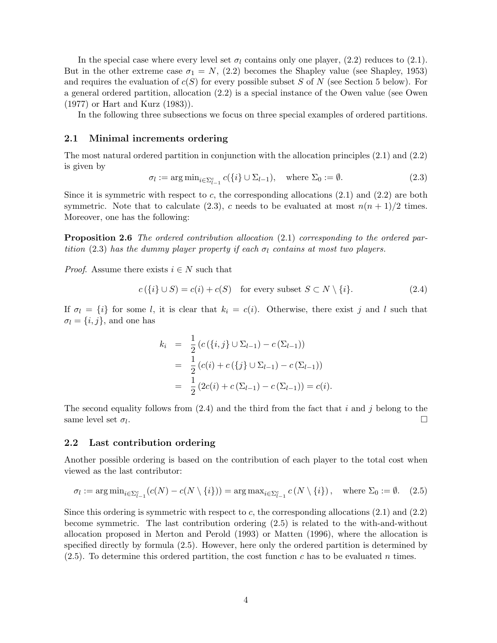In the special case where every level set  $\sigma_l$  contains only one player, (2.2) reduces to (2.1). But in the other extreme case  $\sigma_1 = N$ , (2.2) becomes the Shapley value (see Shapley, 1953) and requires the evaluation of  $c(S)$  for every possible subset S of N (see Section 5 below). For a general ordered partition, allocation (2.2) is a special instance of the Owen value (see Owen (1977) or Hart and Kurz (1983)).

In the following three subsections we focus on three special examples of ordered partitions.

#### 2.1 Minimal increments ordering

The most natural ordered partition in conjunction with the allocation principles (2.1) and (2.2) is given by

$$
\sigma_l := \arg \min_{i \in \Sigma_{l-1}^c} c(\{i\} \cup \Sigma_{l-1}), \quad \text{where } \Sigma_0 := \emptyset.
$$
\n(2.3)

Since it is symmetric with respect to c, the corresponding allocations  $(2.1)$  and  $(2.2)$  are both symmetric. Note that to calculate (2.3), c needs to be evaluated at most  $n(n+1)/2$  times. Moreover, one has the following:

**Proposition 2.6** The ordered contribution allocation (2.1) corresponding to the ordered partition (2.3) has the dummy player property if each  $\sigma_l$  contains at most two players.

*Proof.* Assume there exists  $i \in N$  such that

$$
c({i} \cup S) = c(i) + c(S) \quad \text{for every subset } S \subset N \setminus \{i\}. \tag{2.4}
$$

If  $\sigma_l = \{i\}$  for some l, it is clear that  $k_i = c(i)$ . Otherwise, there exist j and l such that  $\sigma_l = \{i, j\}$ , and one has

$$
k_i = \frac{1}{2} (c(\{i, j\} \cup \Sigma_{l-1}) - c(\Sigma_{l-1}))
$$
  
= 
$$
\frac{1}{2} (c(i) + c(\{j\} \cup \Sigma_{l-1}) - c(\Sigma_{l-1}))
$$
  
= 
$$
\frac{1}{2} (2c(i) + c(\Sigma_{l-1}) - c(\Sigma_{l-1})) = c(i).
$$

The second equality follows from  $(2.4)$  and the third from the fact that i and j belong to the same level set  $\sigma_l$ . . В последните последните последните последните последните последните последните последните последните последн<br>В 1990 година от 1990 година от 1990 година от 1990 година от 1990 година от 1990 година от 1990 година от 199

#### 2.2 Last contribution ordering

Another possible ordering is based on the contribution of each player to the total cost when viewed as the last contributor:

$$
\sigma_l := \arg \min_{i \in \Sigma_{l-1}^c} (c(N) - c(N \setminus \{i\})) = \arg \max_{i \in \Sigma_{l-1}^c} c(N \setminus \{i\}), \quad \text{where } \Sigma_0 := \emptyset. \tag{2.5}
$$

Since this ordering is symmetric with respect to c, the corresponding allocations  $(2.1)$  and  $(2.2)$ become symmetric. The last contribution ordering (2.5) is related to the with-and-without allocation proposed in Merton and Perold (1993) or Matten (1996), where the allocation is specified directly by formula (2.5). However, here only the ordered partition is determined by  $(2.5)$ . To determine this ordered partition, the cost function c has to be evaluated n times.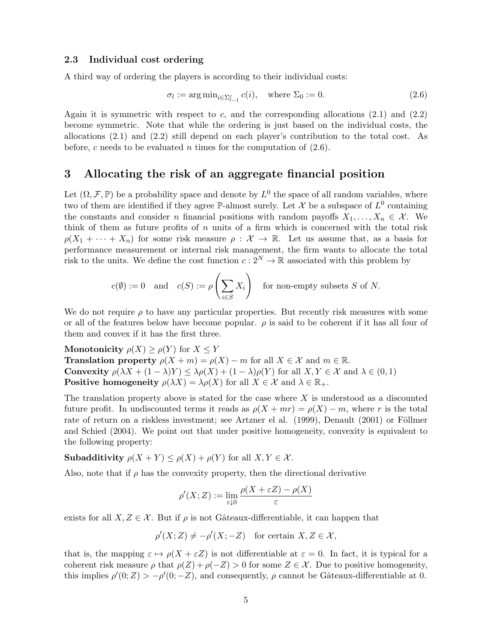#### 2.3 Individual cost ordering

A third way of ordering the players is according to their individual costs:

$$
\sigma_l := \arg \min_{i \in \Sigma_{l-1}^c} c(i), \quad \text{where } \Sigma_0 := 0. \tag{2.6}
$$

Again it is symmetric with respect to c, and the corresponding allocations  $(2.1)$  and  $(2.2)$ become symmetric. Note that while the ordering is just based on the individual costs, the allocations (2.1) and (2.2) still depend on each player's contribution to the total cost. As before, c needs to be evaluated n times for the computation of  $(2.6)$ .

### 3 Allocating the risk of an aggregate financial position

Let  $(\Omega, \mathcal{F}, \mathbb{P})$  be a probability space and denote by  $L^0$  the space of all random variables, where two of them are identified if they agree P-almost surely. Let X be a subspace of  $L^0$  containing the constants and consider n financial positions with random payoffs  $X_1, \ldots, X_n \in \mathcal{X}$ . We think of them as future profits of  $n$  units of a firm which is concerned with the total risk  $\rho(X_1 + \cdots + X_n)$  for some risk measure  $\rho : \mathcal{X} \to \mathbb{R}$ . Let us assume that, as a basis for performance measurement or internal risk management, the firm wants to allocate the total risk to the units. We define the cost function  $c: 2^N \to \mathbb{R}$  associated with this problem by

$$
c(\emptyset) := 0 \quad \text{and} \quad c(S) := \rho\left(\sum_{i \in S} X_i\right) \quad \text{for non-empty subsets } S \text{ of } N.
$$

We do not require  $\rho$  to have any particular properties. But recently risk measures with some or all of the features below have become popular.  $\rho$  is said to be coherent if it has all four of them and convex if it has the first three.

Monotonicity  $\rho(X) \ge \rho(Y)$  for  $X \le Y$ **Translation property**  $\rho(X + m) = \rho(X) - m$  for all  $X \in \mathcal{X}$  and  $m \in \mathbb{R}$ . Convexity  $\rho(\lambda X + (1 - \lambda)Y) \leq \lambda \rho(X) + (1 - \lambda) \rho(Y)$  for all  $X, Y \in \mathcal{X}$  and  $\lambda \in (0, 1)$ **Positive homogeneity**  $\rho(\lambda X) = \lambda \rho(X)$  for all  $X \in \mathcal{X}$  and  $\lambda \in \mathbb{R}_+$ .

The translation property above is stated for the case where  $X$  is understood as a discounted future profit. In undiscounted terms it reads as  $\rho(X + mr) = \rho(X) - m$ , where r is the total rate of return on a riskless investment; see Artzner el al. (1999), Denault (2001) or Föllmer and Schied (2004). We point out that under positive homogeneity, convexity is equivalent to the following property:

**Subadditivity**  $\rho(X + Y) \leq \rho(X) + \rho(Y)$  for all  $X, Y \in \mathcal{X}$ .

Also, note that if  $\rho$  has the convexity property, then the directional derivative

$$
\rho'(X;Z) := \lim_{\varepsilon \downarrow 0} \frac{\rho(X + \varepsilon Z) - \rho(X)}{\varepsilon}
$$

exists for all  $X, Z \in \mathcal{X}$ . But if  $\rho$  is not Gâteaux-differentiable, it can happen that

$$
\rho'(X; Z) \neq -\rho'(X; -Z) \quad \text{for certain } X, Z \in \mathcal{X},
$$

that is, the mapping  $\varepsilon \mapsto \rho(X + \varepsilon Z)$  is not differentiable at  $\varepsilon = 0$ . In fact, it is typical for a coherent risk measure  $\rho$  that  $\rho(Z) + \rho(-Z) > 0$  for some  $Z \in \mathcal{X}$ . Due to positive homogeneity, this implies  $\rho'(0; Z) > -\rho'(0; -Z)$ , and consequently,  $\rho$  cannot be Gâteaux-differentiable at 0.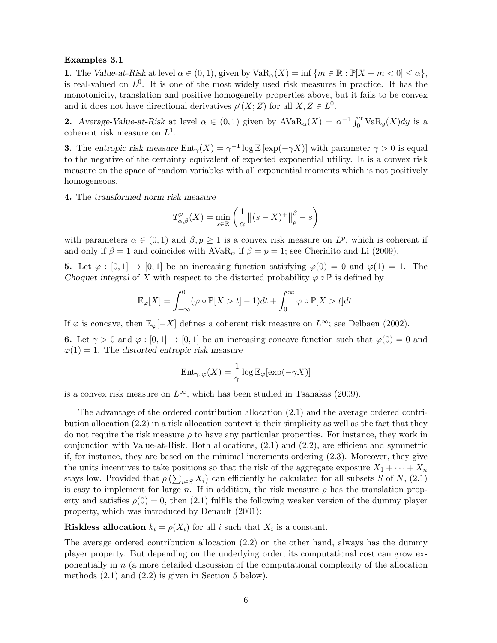#### Examples 3.1

1. The Value-at-Risk at level  $\alpha \in (0,1)$ , given by  $\text{VaR}_{\alpha}(X) = \inf \{m \in \mathbb{R} : \mathbb{P}[X + m < 0] \leq \alpha\},\$ is real-valued on  $L^0$ . It is one of the most widely used risk measures in practice. It has the monotonicity, translation and positive homogeneity properties above, but it fails to be convex and it does not have directional derivatives  $\rho'(X;Z)$  for all  $X, Z \in L^0$ .

**2.** Average-Value-at-Risk at level  $\alpha \in (0,1)$  given by  $AVaR_{\alpha}(X) = \alpha^{-1} \int_0^{\alpha} VaR_y(X)dy$  is a coherent risk measure on  $L^1$ .

**3.** The entropic risk measure  $\text{Ent}_{\gamma}(X) = \gamma^{-1} \log \mathbb{E} [\exp(-\gamma X)]$  with parameter  $\gamma > 0$  is equal to the negative of the certainty equivalent of expected exponential utility. It is a convex risk measure on the space of random variables with all exponential moments which is not positively homogeneous.

4. The transformed norm risk measure

$$
T_{\alpha,\beta}^p(X) = \min_{s \in \mathbb{R}} \left( \frac{1}{\alpha} ||(s - X)^+||_p^{\beta} - s \right)
$$

with parameters  $\alpha \in (0,1)$  and  $\beta, p \ge 1$  is a convex risk measure on  $L^p$ , which is coherent if and only if  $\beta = 1$  and coincides with  $AVaR_\alpha$  if  $\beta = p = 1$ ; see Cheridito and Li (2009).

5. Let  $\varphi : [0,1] \to [0,1]$  be an increasing function satisfying  $\varphi(0) = 0$  and  $\varphi(1) = 1$ . The Choquet integral of X with respect to the distorted probability  $\varphi \circ \mathbb{P}$  is defined by

$$
\mathbb{E}_{\varphi}[X] = \int_{-\infty}^{0} (\varphi \circ \mathbb{P}[X > t] - 1)dt + \int_{0}^{\infty} \varphi \circ \mathbb{P}[X > t]dt.
$$

If  $\varphi$  is concave, then  $\mathbb{E}_{\varphi}[-X]$  defines a coherent risk measure on  $L^{\infty}$ ; see Delbaen (2002).

6. Let  $\gamma > 0$  and  $\varphi : [0, 1] \to [0, 1]$  be an increasing concave function such that  $\varphi(0) = 0$  and  $\varphi(1) = 1$ . The distorted entropic risk measure

$$
\mathrm{Ent}_{\gamma,\,\varphi}(X)=\frac{1}{\gamma}\log\mathbb{E}_{\varphi}[\exp(-\gamma X)]
$$

is a convex risk measure on  $L^{\infty}$ , which has been studied in Tsanakas (2009).

The advantage of the ordered contribution allocation (2.1) and the average ordered contribution allocation (2.2) in a risk allocation context is their simplicity as well as the fact that they do not require the risk measure  $\rho$  to have any particular properties. For instance, they work in conjunction with Value-at-Risk. Both allocations, (2.1) and (2.2), are efficient and symmetric if, for instance, they are based on the minimal increments ordering (2.3). Moreover, they give the units incentives to take positions so that the risk of the aggregate exposure  $X_1 + \cdots + X_n$ stays low. Provided that  $\rho\left(\sum_{i\in S} X_i\right)$  can efficiently be calculated for all subsets S of N, (2.1) is easy to implement for large n. If in addition, the risk measure  $\rho$  has the translation property and satisfies  $\rho(0) = 0$ , then (2.1) fulfils the following weaker version of the dummy player property, which was introduced by Denault (2001):

**Riskless allocation**  $k_i = \rho(X_i)$  for all i such that  $X_i$  is a constant.

The average ordered contribution allocation (2.2) on the other hand, always has the dummy player property. But depending on the underlying order, its computational cost can grow exponentially in  $n$  (a more detailed discussion of the computational complexity of the allocation methods (2.1) and (2.2) is given in Section 5 below).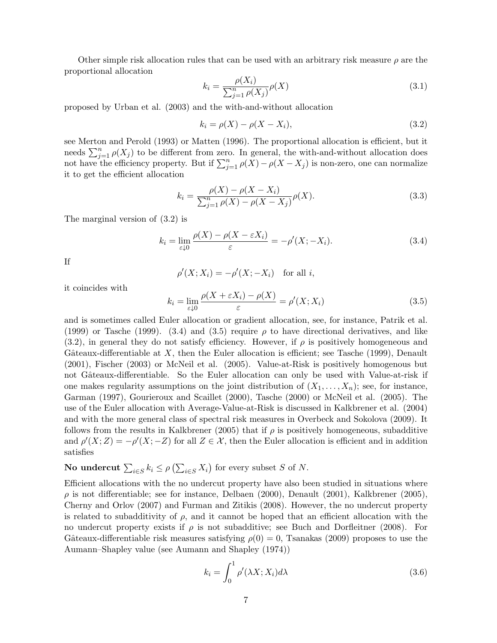Other simple risk allocation rules that can be used with an arbitrary risk measure  $\rho$  are the proportional allocation

$$
k_i = \frac{\rho(X_i)}{\sum_{j=1}^n \rho(X_j)} \rho(X)
$$
\n(3.1)

proposed by Urban et al. (2003) and the with-and-without allocation

$$
k_i = \rho(X) - \rho(X - X_i),\tag{3.2}
$$

see Merton and Perold (1993) or Matten (1996). The proportional allocation is efficient, but it needs  $\sum_{j=1}^{n} \rho(X_j)$  to be different from zero. In general, the with-and-without allocation does not have the efficiency property. But if  $\sum_{j=1}^{n} \rho(X) - \rho(X - X_j)$  is non-zero, one can normalize it to get the efficient allocation

$$
k_i = \frac{\rho(X) - \rho(X - X_i)}{\sum_{j=1}^n \rho(X) - \rho(X - X_j)} \rho(X).
$$
\n(3.3)

The marginal version of (3.2) is

$$
k_i = \lim_{\varepsilon \downarrow 0} \frac{\rho(X) - \rho(X - \varepsilon X_i)}{\varepsilon} = -\rho'(X; -X_i). \tag{3.4}
$$

If

$$
\rho'(X; X_i) = -\rho'(X; -X_i) \quad \text{for all } i,
$$

it coincides with

$$
k_i = \lim_{\varepsilon \downarrow 0} \frac{\rho(X + \varepsilon X_i) - \rho(X)}{\varepsilon} = \rho'(X; X_i)
$$
\n(3.5)

and is sometimes called Euler allocation or gradient allocation, see, for instance, Patrik et al. (1999) or Tasche (1999). (3.4) and (3.5) require  $\rho$  to have directional derivatives, and like  $(3.2)$ , in general they do not satisfy efficiency. However, if  $\rho$  is positively homogeneous and Gâteaux-differentiable at  $X$ , then the Euler allocation is efficient; see Tasche (1999), Denault (2001), Fischer (2003) or McNeil et al. (2005). Value-at-Risk is positively homogenous but not Gâteaux-differentiable. So the Euler allocation can only be used with Value-at-risk if one makes regularity assumptions on the joint distribution of  $(X_1, \ldots, X_n)$ ; see, for instance, Garman (1997), Gourieroux and Scaillet (2000), Tasche (2000) or McNeil et al. (2005). The use of the Euler allocation with Average-Value-at-Risk is discussed in Kalkbrener et al. (2004) and with the more general class of spectral risk measures in Overbeck and Sokolova (2009). It follows from the results in Kalkbrener (2005) that if  $\rho$  is positively homogeneous, subadditive and  $\rho'(X;Z) = -\rho'(X;-Z)$  for all  $Z \in \mathcal{X}$ , then the Euler allocation is efficient and in addition satisfies

# **No undercut**  $\sum_{i \in S} k_i \leq \rho \left( \sum_{i \in S} X_i \right)$  for every subset S of N.

Efficient allocations with the no undercut property have also been studied in situations where  $\rho$  is not differentiable; see for instance, Delbaen (2000), Denault (2001), Kalkbrener (2005), Cherny and Orlov (2007) and Furman and Zitikis (2008). However, the no undercut property is related to subadditivity of  $\rho$ , and it cannot be hoped that an efficient allocation with the no undercut property exists if  $\rho$  is not subadditive; see Buch and Dorfleitner (2008). For Gâteaux-differentiable risk measures satisfying  $\rho(0) = 0$ , Tsanakas (2009) proposes to use the Aumann–Shapley value (see Aumann and Shapley (1974))

$$
k_i = \int_0^1 \rho'(\lambda X; X_i) d\lambda \tag{3.6}
$$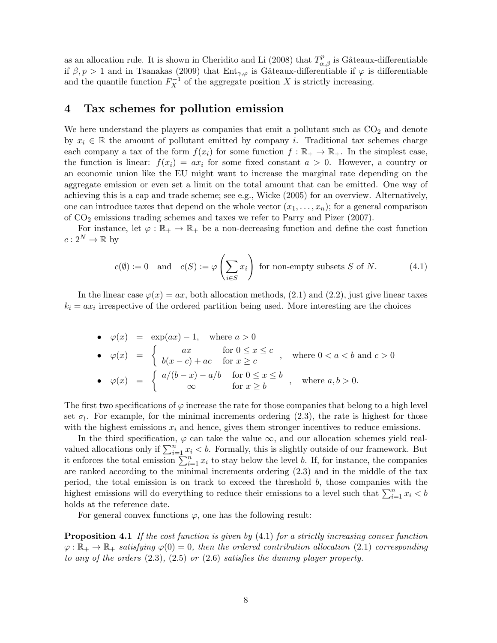as an allocation rule. It is shown in Cheridito and Li (2008) that  $T^p_{\alpha,\beta}$  is Gâteaux-differentiable if  $\beta, p > 1$  and in Tsanakas (2009) that Ent<sub>γ, $\varphi$ </sub> is Gâteaux-differentiable if  $\varphi$  is differentiable and the quantile function  $F_X^{-1}$  of the aggregate position X is strictly increasing.

## 4 Tax schemes for pollution emission

We here understand the players as companies that emit a pollutant such as  $CO<sub>2</sub>$  and denote by  $x_i \in \mathbb{R}$  the amount of pollutant emitted by company i. Traditional tax schemes charge each company a tax of the form  $f(x_i)$  for some function  $f : \mathbb{R}_+ \to \mathbb{R}_+$ . In the simplest case, the function is linear:  $f(x_i) = ax_i$  for some fixed constant  $a > 0$ . However, a country or an economic union like the EU might want to increase the marginal rate depending on the aggregate emission or even set a limit on the total amount that can be emitted. One way of achieving this is a cap and trade scheme; see e.g., Wicke (2005) for an overview. Alternatively, one can introduce taxes that depend on the whole vector  $(x_1, \ldots, x_n)$ ; for a general comparison of  $CO<sub>2</sub>$  emissions trading schemes and taxes we refer to Parry and Pizer (2007).

For instance, let  $\varphi : \mathbb{R}_+ \to \mathbb{R}_+$  be a non-decreasing function and define the cost function  $c: 2^N \to \mathbb{R}$  by

$$
c(\emptyset) := 0 \quad \text{and} \quad c(S) := \varphi\left(\sum_{i \in S} x_i\right) \text{ for non-empty subsets } S \text{ of } N. \tag{4.1}
$$

In the linear case  $\varphi(x) = ax$ , both allocation methods, (2.1) and (2.2), just give linear taxes  $k_i = ax_i$  irrespective of the ordered partition being used. More interesting are the choices

\n- \n
$$
\varphi(x) = \exp(ax) - 1, \quad \text{where } a > 0
$$
\n
\n- \n
$$
\varphi(x) = \n \begin{cases}\n ax & \text{for } 0 \leq x \leq c \\
b(x - c) + ac & \text{for } x \geq c\n \end{cases}, \quad \text{where } 0 < a < b \text{ and } c > 0
$$
\n
\n- \n
$$
\varphi(x) = \n \begin{cases}\n a/(b-x) - a/b & \text{for } 0 \leq x \leq b \\
\infty & \text{for } x \geq b\n \end{cases}, \quad \text{where } a, b > 0.
$$
\n
\n

The first two specifications of  $\varphi$  increase the rate for those companies that belong to a high level set  $\sigma_l$ . For example, for the minimal increments ordering (2.3), the rate is highest for those with the highest emissions  $x_i$  and hence, gives them stronger incentives to reduce emissions.

In the third specification,  $\varphi$  can take the value  $\infty$ , and our allocation schemes yield realvalued allocations only if  $\sum_{i=1}^{n} x_i < b$ . Formally, this is slightly outside of our framework. But it enforces the total emission  $\sum_{i=1}^{n} x_i$  to stay below the level b. If, for instance, the companies are ranked according to the minimal increments ordering (2.3) and in the middle of the tax period, the total emission is on track to exceed the threshold b, those companies with the highest emissions will do everything to reduce their emissions to a level such that  $\sum_{i=1}^{n} x_i < b$ holds at the reference date.

For general convex functions  $\varphi$ , one has the following result:

**Proposition 4.1** If the cost function is given by  $(4.1)$  for a strictly increasing convex function  $\varphi : \mathbb{R}_+ \to \mathbb{R}_+$  satisfying  $\varphi(0) = 0$ , then the ordered contribution allocation (2.1) corresponding to any of the orders  $(2.3)$ ,  $(2.5)$  or  $(2.6)$  satisfies the dummy player property.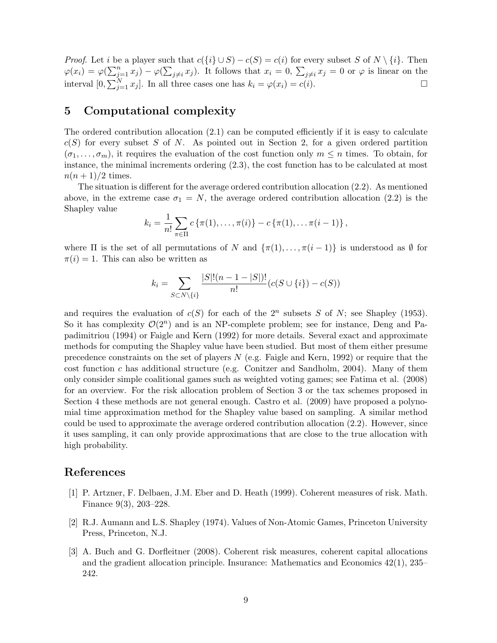*Proof.* Let *i* be a player such that  $c({i} \cup S) - c(S) = c(i)$  for every subset S of  $N \setminus \{i\}$ . Then  $\varphi(x_i) = \varphi(\sum_{j=1}^n x_j) - \varphi(\sum_{j \neq i} x_j)$ . It follows that  $x_i = 0$ ,  $\sum_{j \neq i} x_j = 0$  or  $\varphi$  is linear on the interval  $[0, \sum_{j=1}^{N} x_j]$ . In all three cases one has  $k_i = \varphi(x_i) = c(i)$ .

## 5 Computational complexity

The ordered contribution allocation (2.1) can be computed efficiently if it is easy to calculate  $c(S)$  for every subset S of N. As pointed out in Section 2, for a given ordered partition  $(\sigma_1, \ldots, \sigma_m)$ , it requires the evaluation of the cost function only  $m \leq n$  times. To obtain, for instance, the minimal increments ordering (2.3), the cost function has to be calculated at most  $n(n+1)/2$  times.

The situation is different for the average ordered contribution allocation (2.2). As mentioned above, in the extreme case  $\sigma_1 = N$ , the average ordered contribution allocation (2.2) is the Shapley value

$$
k_i = \frac{1}{n!} \sum_{\pi \in \Pi} c \{ \pi(1), \ldots, \pi(i) \} - c \{ \pi(1), \ldots, \pi(i-1) \},
$$

where  $\Pi$  is the set of all permutations of N and  $\{\pi(1), \ldots, \pi(i-1)\}\$  is understood as  $\emptyset$  for  $\pi(i) = 1$ . This can also be written as

$$
k_i = \sum_{S \subset N \setminus \{i\}} \frac{|S|!(n-1-|S|)!}{n!} (c(S \cup \{i\}) - c(S))
$$

and requires the evaluation of  $c(S)$  for each of the  $2^n$  subsets S of N; see Shapley (1953). So it has complexity  $\mathcal{O}(2^n)$  and is an NP-complete problem; see for instance, Deng and Papadimitriou (1994) or Faigle and Kern (1992) for more details. Several exact and approximate methods for computing the Shapley value have been studied. But most of them either presume precedence constraints on the set of players  $N$  (e.g. Faigle and Kern, 1992) or require that the cost function c has additional structure (e.g. Conitzer and Sandholm, 2004). Many of them only consider simple coalitional games such as weighted voting games; see Fatima et al. (2008) for an overview. For the risk allocation problem of Section 3 or the tax schemes proposed in Section 4 these methods are not general enough. Castro et al. (2009) have proposed a polynomial time approximation method for the Shapley value based on sampling. A similar method could be used to approximate the average ordered contribution allocation (2.2). However, since it uses sampling, it can only provide approximations that are close to the true allocation with high probability.

## References

- [1] P. Artzner, F. Delbaen, J.M. Eber and D. Heath (1999). Coherent measures of risk. Math. Finance 9(3), 203–228.
- [2] R.J. Aumann and L.S. Shapley (1974). Values of Non-Atomic Games, Princeton University Press, Princeton, N.J.
- [3] A. Buch and G. Dorfleitner (2008). Coherent risk measures, coherent capital allocations and the gradient allocation principle. Insurance: Mathematics and Economics 42(1), 235– 242.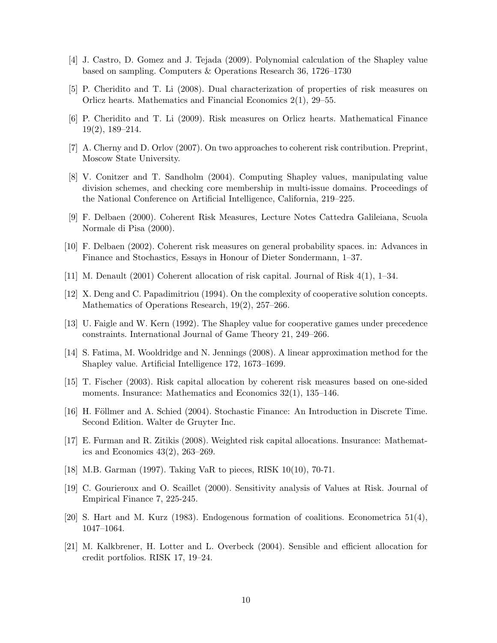- [4] J. Castro, D. Gomez and J. Tejada (2009). Polynomial calculation of the Shapley value based on sampling. Computers & Operations Research 36, 1726–1730
- [5] P. Cheridito and T. Li (2008). Dual characterization of properties of risk measures on Orlicz hearts. Mathematics and Financial Economics 2(1), 29–55.
- [6] P. Cheridito and T. Li (2009). Risk measures on Orlicz hearts. Mathematical Finance 19(2), 189–214.
- [7] A. Cherny and D. Orlov (2007). On two approaches to coherent risk contribution. Preprint, Moscow State University.
- [8] V. Conitzer and T. Sandholm (2004). Computing Shapley values, manipulating value division schemes, and checking core membership in multi-issue domains. Proceedings of the National Conference on Artificial Intelligence, California, 219–225.
- [9] F. Delbaen (2000). Coherent Risk Measures, Lecture Notes Cattedra Galileiana, Scuola Normale di Pisa (2000).
- [10] F. Delbaen (2002). Coherent risk measures on general probability spaces. in: Advances in Finance and Stochastics, Essays in Honour of Dieter Sondermann, 1–37.
- [11] M. Denault (2001) Coherent allocation of risk capital. Journal of Risk 4(1), 1–34.
- [12] X. Deng and C. Papadimitriou (1994). On the complexity of cooperative solution concepts. Mathematics of Operations Research, 19(2), 257–266.
- [13] U. Faigle and W. Kern (1992). The Shapley value for cooperative games under precedence constraints. International Journal of Game Theory 21, 249–266.
- [14] S. Fatima, M. Wooldridge and N. Jennings (2008). A linear approximation method for the Shapley value. Artificial Intelligence 172, 1673–1699.
- [15] T. Fischer (2003). Risk capital allocation by coherent risk measures based on one-sided moments. Insurance: Mathematics and Economics 32(1), 135–146.
- [16] H. Föllmer and A. Schied (2004). Stochastic Finance: An Introduction in Discrete Time. Second Edition. Walter de Gruyter Inc.
- [17] E. Furman and R. Zitikis (2008). Weighted risk capital allocations. Insurance: Mathematics and Economics 43(2), 263–269.
- [18] M.B. Garman (1997). Taking VaR to pieces, RISK 10(10), 70-71.
- [19] C. Gourieroux and O. Scaillet (2000). Sensitivity analysis of Values at Risk. Journal of Empirical Finance 7, 225-245.
- [20] S. Hart and M. Kurz (1983). Endogenous formation of coalitions. Econometrica 51(4), 1047–1064.
- [21] M. Kalkbrener, H. Lotter and L. Overbeck (2004). Sensible and efficient allocation for credit portfolios. RISK 17, 19–24.